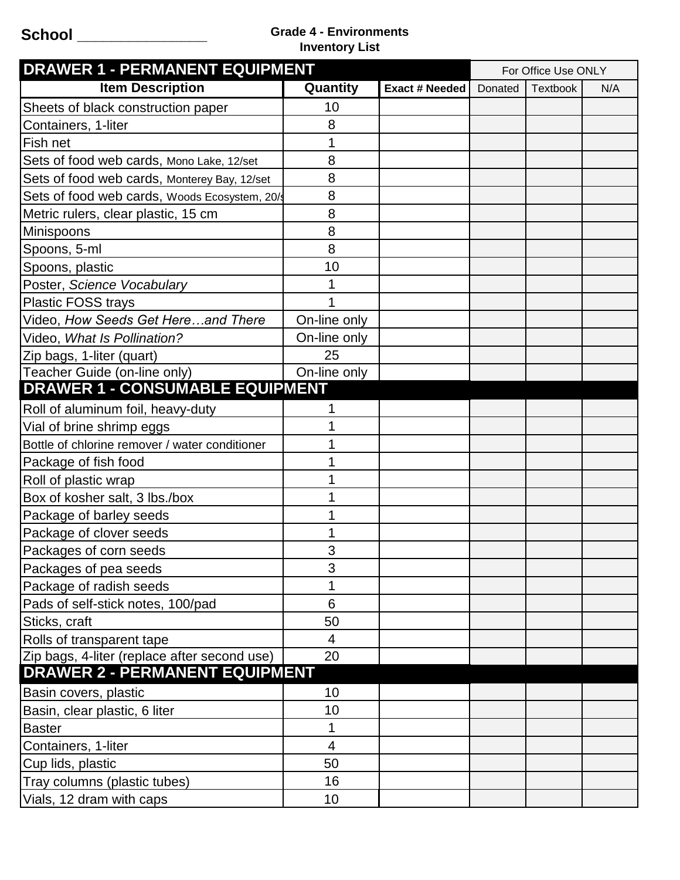## **School \_\_\_\_\_\_\_\_\_\_\_\_\_\_\_ Grade 4 - Environments Inventory List**

| <b>DRAWER 1 - PERMANENT EQUIPMENT</b>          |              |                | For Office Use ONLY |                 |     |
|------------------------------------------------|--------------|----------------|---------------------|-----------------|-----|
| <b>Item Description</b>                        | Quantity     | Exact # Needed | Donated             | <b>Textbook</b> | N/A |
| Sheets of black construction paper             | 10           |                |                     |                 |     |
| Containers, 1-liter                            | 8            |                |                     |                 |     |
| Fish net                                       | 1            |                |                     |                 |     |
| Sets of food web cards, Mono Lake, 12/set      | 8            |                |                     |                 |     |
| Sets of food web cards, Monterey Bay, 12/set   | 8            |                |                     |                 |     |
| Sets of food web cards, Woods Ecosystem, 20/s  | 8            |                |                     |                 |     |
| Metric rulers, clear plastic, 15 cm            | 8            |                |                     |                 |     |
| Minispoons                                     | 8            |                |                     |                 |     |
| Spoons, 5-ml                                   | 8            |                |                     |                 |     |
| Spoons, plastic                                | 10           |                |                     |                 |     |
| Poster, Science Vocabulary                     |              |                |                     |                 |     |
| <b>Plastic FOSS trays</b>                      |              |                |                     |                 |     |
| Video, How Seeds Get Hereand There             | On-line only |                |                     |                 |     |
| Video, What Is Pollination?                    | On-line only |                |                     |                 |     |
| Zip bags, 1-liter (quart)                      | 25           |                |                     |                 |     |
| Teacher Guide (on-line only)                   | On-line only |                |                     |                 |     |
| <b>DRAWER 1 - CONSUMABLE EQUIPMENT</b>         |              |                |                     |                 |     |
| Roll of aluminum foil, heavy-duty              |              |                |                     |                 |     |
| Vial of brine shrimp eggs                      |              |                |                     |                 |     |
| Bottle of chlorine remover / water conditioner |              |                |                     |                 |     |
| Package of fish food                           |              |                |                     |                 |     |
| Roll of plastic wrap                           |              |                |                     |                 |     |
| Box of kosher salt, 3 lbs./box                 |              |                |                     |                 |     |
| Package of barley seeds                        |              |                |                     |                 |     |
| Package of clover seeds                        |              |                |                     |                 |     |
| Packages of corn seeds                         | 3            |                |                     |                 |     |
| Packages of pea seeds                          | 3            |                |                     |                 |     |
| Package of radish seeds                        |              |                |                     |                 |     |
| Pads of self-stick notes, 100/pad              | 6            |                |                     |                 |     |
| Sticks, craft                                  | 50           |                |                     |                 |     |
| Rolls of transparent tape                      | 4            |                |                     |                 |     |
| Zip bags, 4-liter (replace after second use)   | 20           |                |                     |                 |     |
| <b>DRAWER 2 - PERMANENT EQUIPMENT</b>          |              |                |                     |                 |     |
| Basin covers, plastic                          | 10           |                |                     |                 |     |
| Basin, clear plastic, 6 liter                  | 10           |                |                     |                 |     |
| <b>Baster</b>                                  |              |                |                     |                 |     |
| Containers, 1-liter                            | 4            |                |                     |                 |     |
| Cup lids, plastic                              | 50           |                |                     |                 |     |
| Tray columns (plastic tubes)                   | 16           |                |                     |                 |     |
| Vials, 12 dram with caps                       | 10           |                |                     |                 |     |